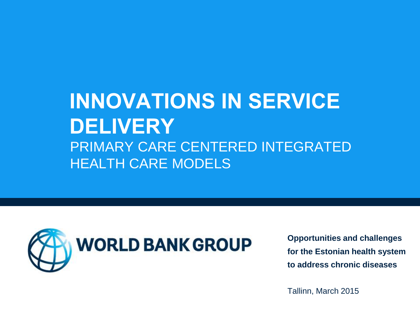# **INNOVATIONS IN SERVICE DELIVERY** PRIMARY CARE CENTERED INTEGRATED HEALTH CARE MODELS



**Opportunities and challenges for the Estonian health system to address chronic diseases**

Tallinn, March 2015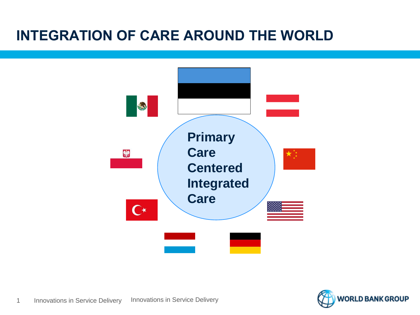#### **INTEGRATION OF CARE AROUND THE WORLD**



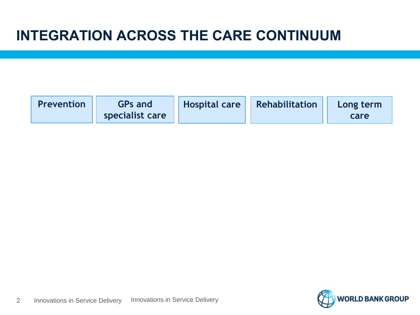#### **INTEGRATION ACROSS THE CARE CONTINUUM**

| <b>Prevention</b> | <b>GPs and</b>  | <b>Hospital care Rehabilitation</b> | Long term |
|-------------------|-----------------|-------------------------------------|-----------|
|                   | specialist care |                                     | care      |

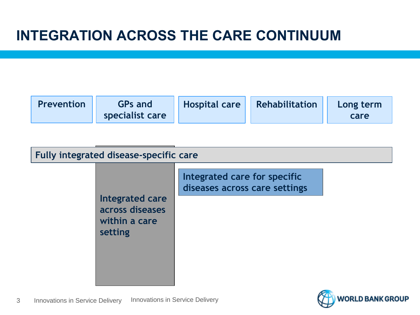| Fully integrated disease-specific care |                                                                |                                                               |  |  |  |
|----------------------------------------|----------------------------------------------------------------|---------------------------------------------------------------|--|--|--|
|                                        | Integrated care<br>across diseases<br>within a care<br>setting | Integrated care for specific<br>diseases across care settings |  |  |  |

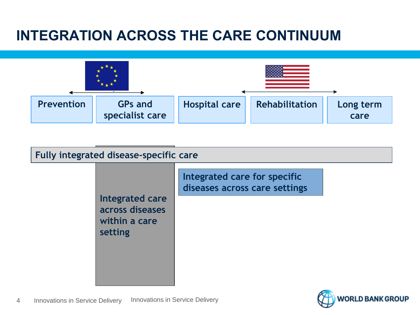#### **INTEGRATION ACROSS THE CARE CONTINUUM**



| Fully integrated disease-specific care |                                                                |                                                               |  |  |  |
|----------------------------------------|----------------------------------------------------------------|---------------------------------------------------------------|--|--|--|
|                                        | Integrated care<br>across diseases<br>within a care<br>setting | Integrated care for specific<br>diseases across care settings |  |  |  |

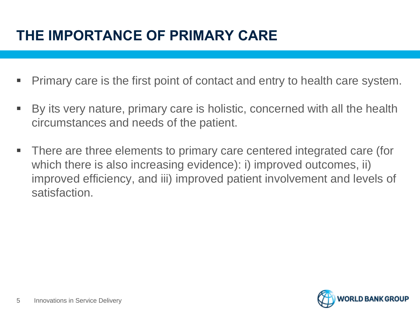# **THE IMPORTANCE OF PRIMARY CARE**

- Primary care is the first point of contact and entry to health care system.
- By its very nature, primary care is holistic, concerned with all the health circumstances and needs of the patient.
- There are three elements to primary care centered integrated care (for which there is also increasing evidence): i) improved outcomes, ii) improved efficiency, and iii) improved patient involvement and levels of satisfaction.

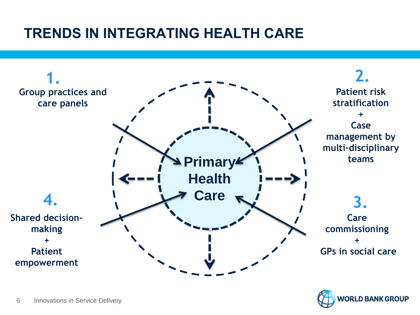

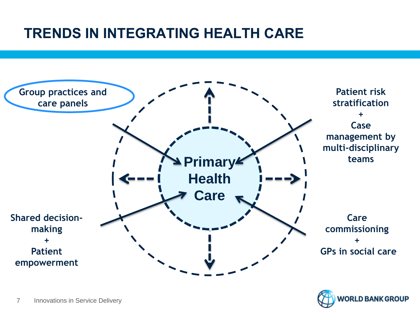

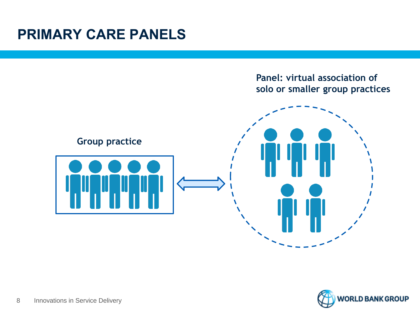#### **PRIMARY CARE PANELS**



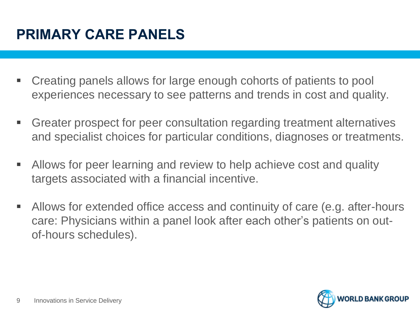- Creating panels allows for large enough cohorts of patients to pool experiences necessary to see patterns and trends in cost and quality.
- Greater prospect for peer consultation regarding treatment alternatives and specialist choices for particular conditions, diagnoses or treatments.
- Allows for peer learning and review to help achieve cost and quality targets associated with a financial incentive.
- Allows for extended office access and continuity of care (e.g. after-hours care: Physicians within a panel look after each other's patients on outof-hours schedules).

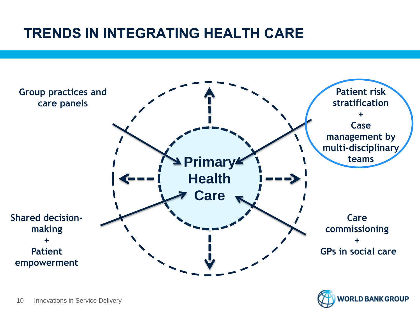

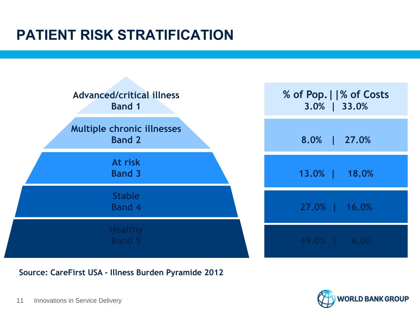# **PATIENT RISK STRATIFICATION**



**Source: CareFirst USA - Illness Burden Pyramide 2012**

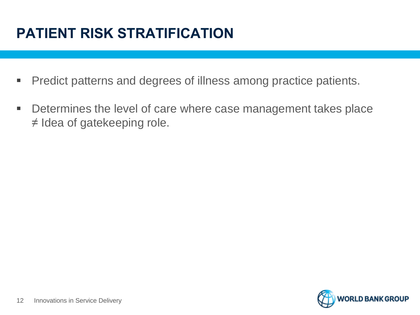# **PATIENT RISK STRATIFICATION**

- **Predict patterns and degrees of illness among practice patients.**
- **Determines the level of care where case management takes place** ≠ Idea of gatekeeping role.

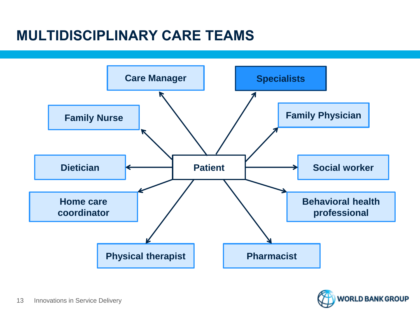#### **MULTIDISCIPLINARY CARE TEAMS**



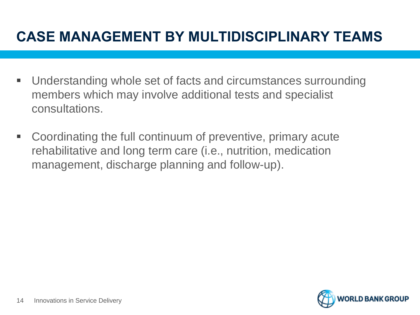#### **CASE MANAGEMENT BY MULTIDISCIPLINARY TEAMS**

- Understanding whole set of facts and circumstances surrounding members which may involve additional tests and specialist consultations.
- Coordinating the full continuum of preventive, primary acute rehabilitative and long term care (i.e., nutrition, medication management, discharge planning and follow-up).

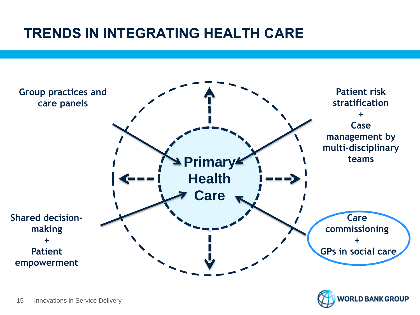

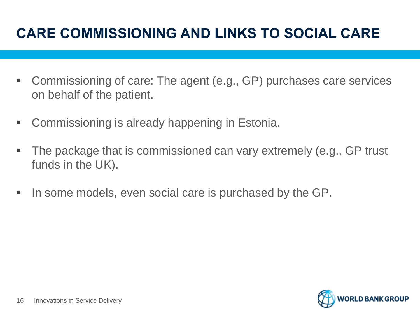# **CARE COMMISSIONING AND LINKS TO SOCIAL CARE**

- Commissioning of care: The agent (e.g., GP) purchases care services on behalf of the patient.
- Commissioning is already happening in Estonia.
- The package that is commissioned can vary extremely (e.g., GP trust funds in the UK).
- In some models, even social care is purchased by the GP.

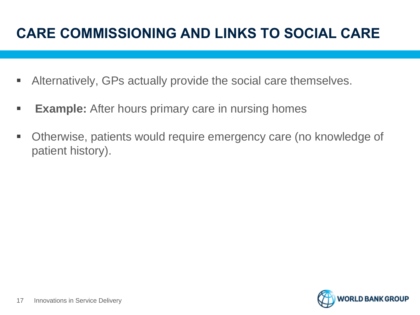# **CARE COMMISSIONING AND LINKS TO SOCIAL CARE**

- Alternatively, GPs actually provide the social care themselves.
- **Example:** After hours primary care in nursing homes
- Otherwise, patients would require emergency care (no knowledge of patient history).

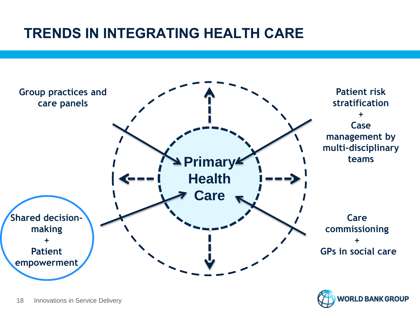

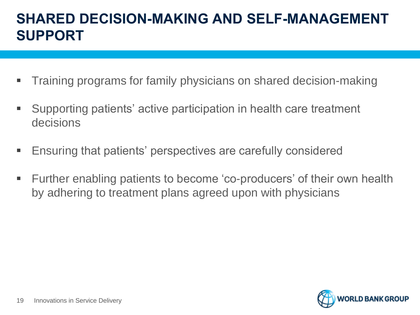#### **SHARED DECISION-MAKING AND SELF-MANAGEMENT SUPPORT**

- Training programs for family physicians on shared decision-making
- Supporting patients' active participation in health care treatment decisions
- Ensuring that patients' perspectives are carefully considered
- Further enabling patients to become 'co-producers' of their own health by adhering to treatment plans agreed upon with physicians